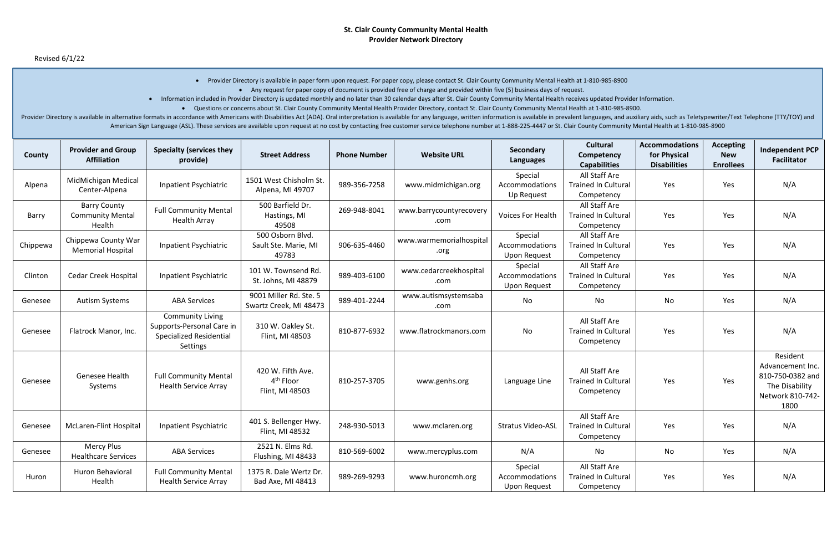| County   | <b>Provider and Group</b><br><b>Affiliation</b>          | <b>Specialty (services they</b><br>provide)                                                        | <b>Street Address</b>                                         | <b>Phone Number</b> | <b>Website URL</b>              | Secondary<br><b>Languages</b>                    | <b>Cultural</b><br>Competency<br><b>Capabilities</b>      | <b>Accommodations</b><br>for Physical<br><b>Disabilities</b> | <b>Accepting</b><br><b>New</b><br><b>Enrollees</b> | <b>Independent PCP</b><br><b>Facilitator</b>                                                   |
|----------|----------------------------------------------------------|----------------------------------------------------------------------------------------------------|---------------------------------------------------------------|---------------------|---------------------------------|--------------------------------------------------|-----------------------------------------------------------|--------------------------------------------------------------|----------------------------------------------------|------------------------------------------------------------------------------------------------|
| Alpena   | MidMichigan Medical<br>Center-Alpena                     | <b>Inpatient Psychiatric</b>                                                                       | 1501 West Chisholm St.<br>Alpena, MI 49707                    | 989-356-7258        | www.midmichigan.org             | Special<br>Accommodations<br>Up Request          | All Staff Are<br><b>Trained In Cultural</b><br>Competency | Yes                                                          | Yes                                                | N/A                                                                                            |
| Barry    | <b>Barry County</b><br><b>Community Mental</b><br>Health | <b>Full Community Mental</b><br><b>Health Array</b>                                                | 500 Barfield Dr.<br>Hastings, MI<br>49508                     | 269-948-8041        | www.barrycountyrecovery<br>.com | <b>Voices For Health</b>                         | All Staff Are<br><b>Trained In Cultural</b><br>Competency | Yes                                                          | Yes                                                | N/A                                                                                            |
| Chippewa | Chippewa County War<br><b>Memorial Hospital</b>          | Inpatient Psychiatric                                                                              | 500 Osborn Blvd.<br>Sault Ste. Marie, MI<br>49783             | 906-635-4460        | www.warmemorialhospital<br>.org | Special<br>Accommodations<br><b>Upon Request</b> | All Staff Are<br><b>Trained In Cultural</b><br>Competency | Yes                                                          | Yes                                                | N/A                                                                                            |
| Clinton  | <b>Cedar Creek Hospital</b>                              | <b>Inpatient Psychiatric</b>                                                                       | 101 W. Townsend Rd.<br>St. Johns, MI 48879                    | 989-403-6100        | www.cedarcreekhospital<br>.com  | Special<br>Accommodations<br><b>Upon Request</b> | All Staff Are<br><b>Trained In Cultural</b><br>Competency | Yes                                                          | Yes                                                | N/A                                                                                            |
| Genesee  | <b>Autism Systems</b>                                    | <b>ABA Services</b>                                                                                | 9001 Miller Rd. Ste. 5<br>Swartz Creek, MI 48473              | 989-401-2244        | www.autismsystemsaba<br>.com    | No                                               | No                                                        | No                                                           | Yes                                                | N/A                                                                                            |
| Genesee  | Flatrock Manor, Inc.                                     | <b>Community Living</b><br>Supports-Personal Care in<br><b>Specialized Residential</b><br>Settings | 310 W. Oakley St.<br>Flint, MI 48503                          | 810-877-6932        | www.flatrockmanors.com          | No                                               | All Staff Are<br><b>Trained In Cultural</b><br>Competency | Yes                                                          | Yes                                                | N/A                                                                                            |
| Genesee  | <b>Genesee Health</b><br>Systems                         | <b>Full Community Mental</b><br><b>Health Service Array</b>                                        | 420 W. Fifth Ave.<br>4 <sup>th</sup> Floor<br>Flint, MI 48503 | 810-257-3705        | www.genhs.org                   | Language Line                                    | All Staff Are<br><b>Trained In Cultural</b><br>Competency | Yes                                                          | Yes                                                | Resident<br>Advancement Inc.<br>810-750-0382 and<br>The Disability<br>Network 810-742-<br>1800 |
| Genesee  | <b>McLaren-Flint Hospital</b>                            | Inpatient Psychiatric                                                                              | 401 S. Bellenger Hwy.<br>Flint, MI 48532                      | 248-930-5013        | www.mclaren.org                 | <b>Stratus Video-ASL</b>                         | All Staff Are<br><b>Trained In Cultural</b><br>Competency | Yes                                                          | Yes                                                | N/A                                                                                            |
| Genesee  | <b>Mercy Plus</b><br><b>Healthcare Services</b>          | <b>ABA Services</b>                                                                                | 2521 N. Elms Rd.<br>Flushing, MI 48433                        | 810-569-6002        | www.mercyplus.com               | N/A                                              | No                                                        | No                                                           | Yes                                                | N/A                                                                                            |
| Huron    | Huron Behavioral<br>Health                               | <b>Full Community Mental</b><br><b>Health Service Array</b>                                        | 1375 R. Dale Wertz Dr.<br>Bad Axe, MI 48413                   | 989-269-9293        | www.huroncmh.org                | Special<br>Accommodations<br><b>Upon Request</b> | All Staff Are<br><b>Trained In Cultural</b><br>Competency | Yes                                                          | Yes                                                | N/A                                                                                            |

• Provider Directory is available in paper form upon request. For paper copy, please contact St. Clair County Community Mental Health at 1-810-985-8900 • Any request for paper copy of document is provided free of charge and provided within five (5) business days of request.

- Information included in Provider Directory is updated monthly and no later than 30 calendar days after St. Clair County Community Mental Health receives updated Provider Information.
	- Questions or concerns about St. Clair County Community Mental Health Provider Directory, contact St. Clair County Community Mental Health at 1-810-985-8900.

Provider Directory is available in alternative formats in accordance with Americans with Disabilities Act (ADA). Oral interpretation is available for any language, written information is available in prevalent languages, a American Sign Language (ASL). These services are available upon request at no cost by contacting free customer service telephone number at 1-888-225-4447 or St. Clair County Community Mental Health at 1-810-985-8900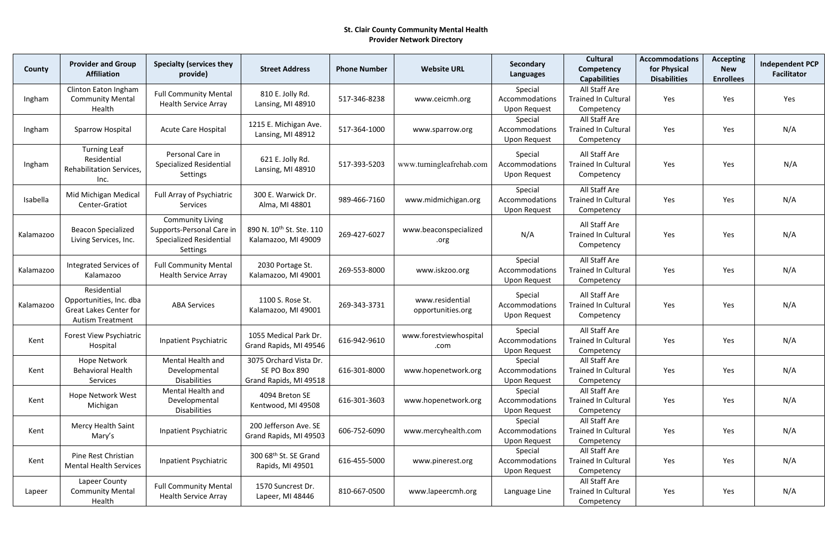| County    | <b>Provider and Group</b><br><b>Affiliation</b>                                                    | <b>Specialty (services they</b><br>provide)                                                               | <b>Street Address</b>                                             | <b>Phone Number</b> | <b>Website URL</b>                   | Secondary<br><b>Languages</b>                    | <b>Cultural</b><br>Competency<br><b>Capabilities</b>      | <b>Accommodations</b><br>for Physical<br><b>Disabilities</b> | <b>Accepting</b><br><b>New</b><br><b>Enrollees</b> | <b>Independent PCP</b><br><b>Facilitator</b> |
|-----------|----------------------------------------------------------------------------------------------------|-----------------------------------------------------------------------------------------------------------|-------------------------------------------------------------------|---------------------|--------------------------------------|--------------------------------------------------|-----------------------------------------------------------|--------------------------------------------------------------|----------------------------------------------------|----------------------------------------------|
| Ingham    | Clinton Eaton Ingham<br><b>Community Mental</b><br>Health                                          | <b>Full Community Mental</b><br><b>Health Service Array</b>                                               | 810 E. Jolly Rd.<br>Lansing, MI 48910                             | 517-346-8238        | www.ceicmh.org                       | Special<br>Accommodations<br><b>Upon Request</b> | All Staff Are<br><b>Trained In Cultural</b><br>Competency | Yes                                                          | Yes                                                | Yes                                          |
| Ingham    | Sparrow Hospital                                                                                   | <b>Acute Care Hospital</b>                                                                                | 1215 E. Michigan Ave.<br>Lansing, MI 48912                        | 517-364-1000        | www.sparrow.org                      | Special<br>Accommodations<br><b>Upon Request</b> | All Staff Are<br><b>Trained In Cultural</b><br>Competency | Yes                                                          | Yes                                                | N/A                                          |
| Ingham    | <b>Turning Leaf</b><br>Residential<br>Rehabilitation Services,<br>Inc.                             | Personal Care in<br><b>Specialized Residential</b><br><b>Settings</b>                                     | 621 E. Jolly Rd.<br>Lansing, MI 48910                             | 517-393-5203        | www.turningleafrehab.com             | Special<br>Accommodations<br><b>Upon Request</b> | All Staff Are<br><b>Trained In Cultural</b><br>Competency | Yes                                                          | Yes                                                | N/A                                          |
| Isabella  | Mid Michigan Medical<br>Center-Gratiot                                                             | Full Array of Psychiatric<br><b>Services</b>                                                              | 300 E. Warwick Dr.<br>Alma, MI 48801                              | 989-466-7160        | www.midmichigan.org                  | Special<br>Accommodations<br><b>Upon Request</b> | All Staff Are<br><b>Trained In Cultural</b><br>Competency | Yes                                                          | Yes                                                | N/A                                          |
| Kalamazoo | <b>Beacon Specialized</b><br>Living Services, Inc.                                                 | <b>Community Living</b><br>Supports-Personal Care in<br><b>Specialized Residential</b><br><b>Settings</b> | 890 N. 10 <sup>th</sup> St. Ste. 110<br>Kalamazoo, MI 49009       | 269-427-6027        | www.beaconspecialized<br>.org        | N/A                                              | All Staff Are<br><b>Trained In Cultural</b><br>Competency | Yes                                                          | Yes                                                | N/A                                          |
| Kalamazoo | Integrated Services of<br>Kalamazoo                                                                | <b>Full Community Mental</b><br><b>Health Service Array</b>                                               | 2030 Portage St.<br>Kalamazoo, MI 49001                           | 269-553-8000        | www.iskzoo.org                       | Special<br>Accommodations<br><b>Upon Request</b> | All Staff Are<br><b>Trained In Cultural</b><br>Competency | Yes                                                          | Yes                                                | N/A                                          |
| Kalamazoo | Residential<br>Opportunities, Inc. dba<br><b>Great Lakes Center for</b><br><b>Autism Treatment</b> | <b>ABA Services</b>                                                                                       | 1100 S. Rose St.<br>Kalamazoo, MI 49001                           | 269-343-3731        | www.residential<br>opportunities.org | Special<br>Accommodations<br>Upon Request        | All Staff Are<br><b>Trained In Cultural</b><br>Competency | Yes                                                          | Yes                                                | N/A                                          |
| Kent      | <b>Forest View Psychiatric</b><br>Hospital                                                         | Inpatient Psychiatric                                                                                     | 1055 Medical Park Dr.<br>Grand Rapids, MI 49546                   | 616-942-9610        | www.forestviewhospital<br>.com       | Special<br>Accommodations<br><b>Upon Request</b> | All Staff Are<br><b>Trained In Cultural</b><br>Competency | Yes                                                          | Yes                                                | N/A                                          |
| Kent      | Hope Network<br><b>Behavioral Health</b><br>Services                                               | Mental Health and<br>Developmental<br><b>Disabilities</b>                                                 | 3075 Orchard Vista Dr.<br>SE PO Box 890<br>Grand Rapids, MI 49518 | 616-301-8000        | www.hopenetwork.org                  | Special<br>Accommodations<br><b>Upon Request</b> | All Staff Are<br><b>Trained In Cultural</b><br>Competency | Yes                                                          | Yes                                                | N/A                                          |
| Kent      | Hope Network West<br>Michigan                                                                      | Mental Health and<br>Developmental<br><b>Disabilities</b>                                                 | 4094 Breton SE<br>Kentwood, MI 49508                              | 616-301-3603        | www.hopenetwork.org                  | Special<br>Accommodations<br>Upon Request        | All Staff Are<br><b>Trained In Cultural</b><br>Competency | Yes                                                          | Yes                                                | N/A                                          |
| Kent      | Mercy Health Saint<br>Mary's                                                                       | <b>Inpatient Psychiatric</b>                                                                              | 200 Jefferson Ave. SE<br>Grand Rapids, MI 49503                   | 606-752-6090        | www.mercyhealth.com                  | Special<br>Accommodations<br>Upon Request        | All Staff Are<br><b>Trained In Cultural</b><br>Competency | Yes                                                          | Yes                                                | N/A                                          |
| Kent      | Pine Rest Christian<br><b>Mental Health Services</b>                                               | Inpatient Psychiatric                                                                                     | 300 68 <sup>th</sup> St. SE Grand<br>Rapids, MI 49501             | 616-455-5000        | www.pinerest.org                     | Special<br>Accommodations<br><b>Upon Request</b> | All Staff Are<br><b>Trained In Cultural</b><br>Competency | Yes                                                          | Yes                                                | N/A                                          |
| Lapeer    | Lapeer County<br><b>Community Mental</b><br>Health                                                 | <b>Full Community Mental</b><br><b>Health Service Array</b>                                               | 1570 Suncrest Dr.<br>Lapeer, MI 48446                             | 810-667-0500        | www.lapeercmh.org                    | Language Line                                    | All Staff Are<br><b>Trained In Cultural</b><br>Competency | Yes                                                          | Yes                                                | N/A                                          |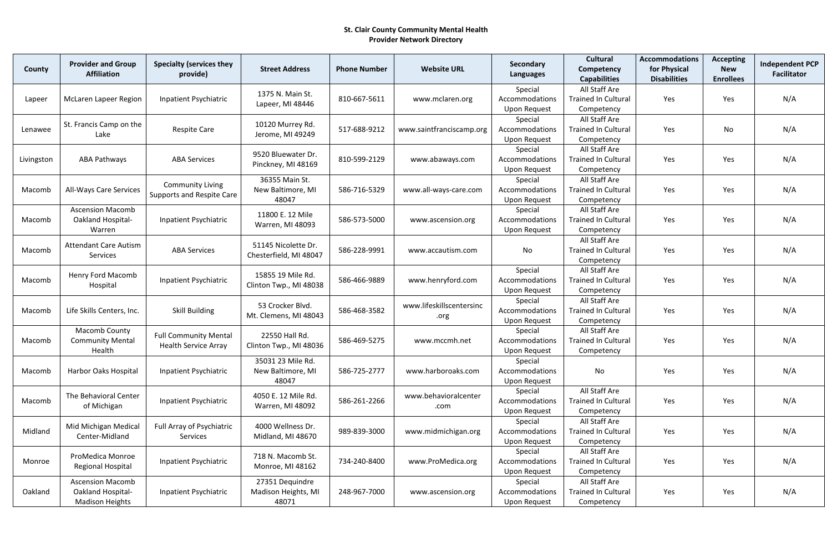| County     | <b>Provider and Group</b><br><b>Affiliation</b>                        | <b>Specialty (services they</b><br>provide)                 | <b>Street Address</b>                           | <b>Phone Number</b> | <b>Website URL</b>               | Secondary<br><b>Languages</b>                    | <b>Cultural</b><br>Competency<br><b>Capabilities</b>      | <b>Accommodations</b><br>for Physical<br><b>Disabilities</b> | <b>Accepting</b><br><b>New</b><br><b>Enrollees</b> | <b>Independent PCP</b><br><b>Facilitator</b> |
|------------|------------------------------------------------------------------------|-------------------------------------------------------------|-------------------------------------------------|---------------------|----------------------------------|--------------------------------------------------|-----------------------------------------------------------|--------------------------------------------------------------|----------------------------------------------------|----------------------------------------------|
| Lapeer     | <b>McLaren Lapeer Region</b>                                           | Inpatient Psychiatric                                       | 1375 N. Main St.<br>Lapeer, MI 48446            | 810-667-5611        | www.mclaren.org                  | Special<br>Accommodations<br><b>Upon Request</b> | All Staff Are<br><b>Trained In Cultural</b><br>Competency | Yes                                                          | Yes                                                | N/A                                          |
| Lenawee    | St. Francis Camp on the<br>Lake                                        | <b>Respite Care</b>                                         | 10120 Murrey Rd.<br>Jerome, MI 49249            | 517-688-9212        | www.saintfranciscamp.org         | Special<br>Accommodations<br><b>Upon Request</b> | All Staff Are<br><b>Trained In Cultural</b><br>Competency | Yes                                                          | No                                                 | N/A                                          |
| Livingston | ABA Pathways                                                           | <b>ABA Services</b>                                         | 9520 Bluewater Dr.<br>Pinckney, MI 48169        | 810-599-2129        | www.abaways.com                  | Special<br>Accommodations<br><b>Upon Request</b> | All Staff Are<br><b>Trained In Cultural</b><br>Competency | Yes                                                          | Yes                                                | N/A                                          |
| Macomb     | <b>All-Ways Care Services</b>                                          | <b>Community Living</b><br>Supports and Respite Care        | 36355 Main St.<br>New Baltimore, MI<br>48047    | 586-716-5329        | www.all-ways-care.com            | Special<br>Accommodations<br><b>Upon Request</b> | All Staff Are<br><b>Trained In Cultural</b><br>Competency | Yes                                                          | Yes                                                | N/A                                          |
| Macomb     | <b>Ascension Macomb</b><br><b>Oakland Hospital-</b><br>Warren          | Inpatient Psychiatric                                       | 11800 E. 12 Mile<br>Warren, MI 48093            | 586-573-5000        | www.ascension.org                | Special<br>Accommodations<br><b>Upon Request</b> | All Staff Are<br><b>Trained In Cultural</b><br>Competency | Yes                                                          | Yes                                                | N/A                                          |
| Macomb     | <b>Attendant Care Autism</b><br>Services                               | <b>ABA Services</b>                                         | 51145 Nicolette Dr.<br>Chesterfield, MI 48047   | 586-228-9991        | www.accautism.com                | No                                               | All Staff Are<br><b>Trained In Cultural</b><br>Competency | Yes                                                          | Yes                                                | N/A                                          |
| Macomb     | Henry Ford Macomb<br>Hospital                                          | Inpatient Psychiatric                                       | 15855 19 Mile Rd.<br>Clinton Twp., MI 48038     | 586-466-9889        | www.henryford.com                | Special<br>Accommodations<br><b>Upon Request</b> | All Staff Are<br><b>Trained In Cultural</b><br>Competency | Yes                                                          | Yes                                                | N/A                                          |
| Macomb     | Life Skills Centers, Inc.                                              | <b>Skill Building</b>                                       | 53 Crocker Blvd.<br>Mt. Clemens, MI 48043       | 586-468-3582        | www.lifeskillscentersinc<br>.org | Special<br>Accommodations<br><b>Upon Request</b> | All Staff Are<br><b>Trained In Cultural</b><br>Competency | Yes                                                          | Yes                                                | N/A                                          |
| Macomb     | Macomb County<br><b>Community Mental</b><br>Health                     | <b>Full Community Mental</b><br><b>Health Service Array</b> | 22550 Hall Rd.<br>Clinton Twp., MI 48036        | 586-469-5275        | www.mccmh.net                    | Special<br>Accommodations<br><b>Upon Request</b> | All Staff Are<br><b>Trained In Cultural</b><br>Competency | Yes                                                          | Yes                                                | N/A                                          |
| Macomb     | <b>Harbor Oaks Hospital</b>                                            | Inpatient Psychiatric                                       | 35031 23 Mile Rd.<br>New Baltimore, MI<br>48047 | 586-725-2777        | www.harboroaks.com               | Special<br>Accommodations<br><b>Upon Request</b> | No                                                        | Yes                                                          | Yes                                                | N/A                                          |
| Macomb     | The Behavioral Center<br>of Michigan                                   | Inpatient Psychiatric                                       | 4050 E. 12 Mile Rd.<br>Warren, MI 48092         | 586-261-2266        | www.behavioralcenter<br>.com     | Special<br>Accommodations<br><b>Upon Request</b> | All Staff Are<br><b>Trained In Cultural</b><br>Competency | Yes                                                          | Yes                                                | N/A                                          |
| Midland    | Mid Michigan Medical<br>Center-Midland                                 | Full Array of Psychiatric<br>Services                       | 4000 Wellness Dr.<br>Midland, MI 48670          | 989-839-3000        | www.midmichigan.org              | Special<br>Accommodations<br><b>Upon Request</b> | All Staff Are<br><b>Trained In Cultural</b><br>Competency | Yes                                                          | Yes                                                | N/A                                          |
| Monroe     | ProMedica Monroe<br><b>Regional Hospital</b>                           | Inpatient Psychiatric                                       | 718 N. Macomb St.<br>Monroe, MI 48162           | 734-240-8400        | www.ProMedica.org                | Special<br>Accommodations<br><b>Upon Request</b> | All Staff Are<br><b>Trained In Cultural</b><br>Competency | Yes                                                          | Yes                                                | N/A                                          |
| Oakland    | <b>Ascension Macomb</b><br>Oakland Hospital-<br><b>Madison Heights</b> | Inpatient Psychiatric                                       | 27351 Dequindre<br>Madison Heights, MI<br>48071 | 248-967-7000        | www.ascension.org                | Special<br>Accommodations<br><b>Upon Request</b> | All Staff Are<br><b>Trained In Cultural</b><br>Competency | Yes                                                          | Yes                                                | N/A                                          |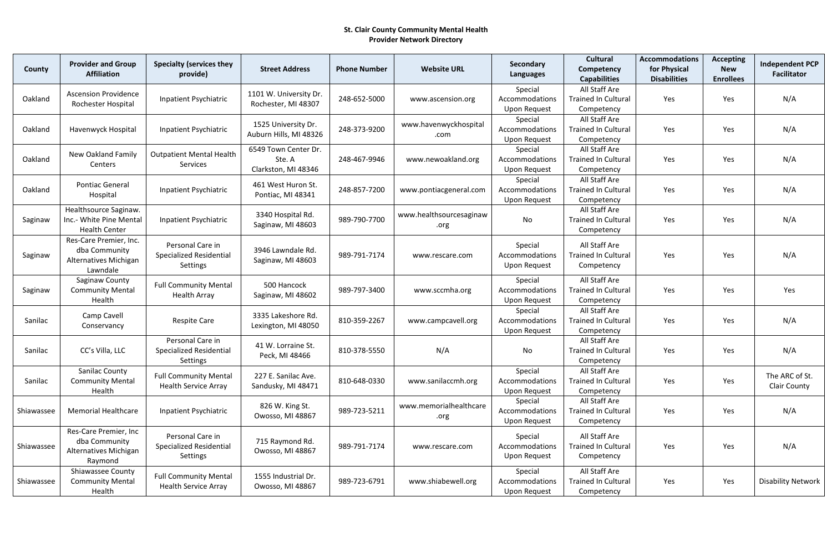| County     | <b>Provider and Group</b><br><b>Affiliation</b>                              | <b>Specialty (services they</b><br>provide)                    | <b>Street Address</b>                                 | <b>Phone Number</b> | <b>Website URL</b>              | Secondary<br><b>Languages</b>                    | <b>Cultural</b><br>Competency<br><b>Capabilities</b>      | <b>Accommodations</b><br>for Physical<br><b>Disabilities</b> | <b>Accepting</b><br><b>New</b><br><b>Enrollees</b> | <b>Independent PCP</b><br><b>Facilitator</b> |
|------------|------------------------------------------------------------------------------|----------------------------------------------------------------|-------------------------------------------------------|---------------------|---------------------------------|--------------------------------------------------|-----------------------------------------------------------|--------------------------------------------------------------|----------------------------------------------------|----------------------------------------------|
| Oakland    | <b>Ascension Providence</b><br>Rochester Hospital                            | <b>Inpatient Psychiatric</b>                                   | 1101 W. University Dr.<br>Rochester, MI 48307         | 248-652-5000        | www.ascension.org               | Special<br>Accommodations<br><b>Upon Request</b> | All Staff Are<br><b>Trained In Cultural</b><br>Competency | Yes                                                          | Yes                                                | N/A                                          |
| Oakland    | Havenwyck Hospital                                                           | Inpatient Psychiatric                                          | 1525 University Dr.<br>Auburn Hills, MI 48326         | 248-373-9200        | www.havenwyckhospital<br>.com   | Special<br>Accommodations<br><b>Upon Request</b> | All Staff Are<br><b>Trained In Cultural</b><br>Competency | Yes                                                          | Yes                                                | N/A                                          |
| Oakland    | <b>New Oakland Family</b><br>Centers                                         | <b>Outpatient Mental Health</b><br>Services                    | 6549 Town Center Dr.<br>Ste. A<br>Clarkston, MI 48346 | 248-467-9946        | www.newoakland.org              | Special<br>Accommodations<br><b>Upon Request</b> | All Staff Are<br><b>Trained In Cultural</b><br>Competency | Yes                                                          | Yes                                                | N/A                                          |
| Oakland    | <b>Pontiac General</b><br>Hospital                                           | Inpatient Psychiatric                                          | 461 West Huron St.<br>Pontiac, MI 48341               | 248-857-7200        | www.pontiacgeneral.com          | Special<br>Accommodations<br><b>Upon Request</b> | All Staff Are<br><b>Trained In Cultural</b><br>Competency | Yes                                                          | Yes                                                | N/A                                          |
| Saginaw    | Healthsource Saginaw.<br>Inc.- White Pine Mental<br><b>Health Center</b>     | Inpatient Psychiatric                                          | 3340 Hospital Rd.<br>Saginaw, MI 48603                | 989-790-7700        | www.healthsourcesaginaw<br>.org | No                                               | All Staff Are<br><b>Trained In Cultural</b><br>Competency | Yes                                                          | Yes                                                | N/A                                          |
| Saginaw    | Res-Care Premier, Inc.<br>dba Community<br>Alternatives Michigan<br>Lawndale | Personal Care in<br><b>Specialized Residential</b><br>Settings | 3946 Lawndale Rd.<br>Saginaw, MI 48603                | 989-791-7174        | www.rescare.com                 | Special<br>Accommodations<br><b>Upon Request</b> | All Staff Are<br><b>Trained In Cultural</b><br>Competency | Yes                                                          | Yes                                                | N/A                                          |
| Saginaw    | Saginaw County<br><b>Community Mental</b><br>Health                          | <b>Full Community Mental</b><br><b>Health Array</b>            | 500 Hancock<br>Saginaw, MI 48602                      | 989-797-3400        | www.sccmha.org                  | Special<br>Accommodations<br><b>Upon Request</b> | All Staff Are<br><b>Trained In Cultural</b><br>Competency | Yes                                                          | Yes                                                | Yes                                          |
| Sanilac    | Camp Cavell<br>Conservancy                                                   | <b>Respite Care</b>                                            | 3335 Lakeshore Rd.<br>Lexington, MI 48050             | 810-359-2267        | www.campcavell.org              | Special<br>Accommodations<br><b>Upon Request</b> | All Staff Are<br><b>Trained In Cultural</b><br>Competency | Yes                                                          | Yes                                                | N/A                                          |
| Sanilac    | CC's Villa, LLC                                                              | Personal Care in<br><b>Specialized Residential</b><br>Settings | 41 W. Lorraine St.<br>Peck, MI 48466                  | 810-378-5550        | N/A                             | No                                               | All Staff Are<br><b>Trained In Cultural</b><br>Competency | Yes                                                          | Yes                                                | N/A                                          |
| Sanilac    | <b>Sanilac County</b><br><b>Community Mental</b><br>Health                   | <b>Full Community Mental</b><br><b>Health Service Array</b>    | 227 E. Sanilac Ave.<br>Sandusky, MI 48471             | 810-648-0330        | www.sanilaccmh.org              | Special<br>Accommodations<br><b>Upon Request</b> | All Staff Are<br><b>Trained In Cultural</b><br>Competency | Yes                                                          | Yes                                                | The ARC of St.<br><b>Clair County</b>        |
| Shiawassee | <b>Memorial Healthcare</b>                                                   | Inpatient Psychiatric                                          | 826 W. King St.<br>Owosso, MI 48867                   | 989-723-5211        | www.memorialhealthcare<br>.org  | Special<br>Accommodations<br><b>Upon Request</b> | All Staff Are<br><b>Trained In Cultural</b><br>Competency | Yes                                                          | Yes                                                | N/A                                          |
| Shiawassee | Res-Care Premier, Inc<br>dba Community<br>Alternatives Michigan<br>Raymond   | Personal Care in<br><b>Specialized Residential</b><br>Settings | 715 Raymond Rd.<br>Owosso, MI 48867                   | 989-791-7174        | www.rescare.com                 | Special<br>Accommodations<br>Upon Request        | All Staff Are<br><b>Trained In Cultural</b><br>Competency | Yes                                                          | Yes                                                | N/A                                          |
| Shiawassee | <b>Shiawassee County</b><br><b>Community Mental</b><br>Health                | <b>Full Community Mental</b><br><b>Health Service Array</b>    | 1555 Industrial Dr.<br>Owosso, MI 48867               | 989-723-6791        | www.shiabewell.org              | Special<br>Accommodations<br><b>Upon Request</b> | All Staff Are<br><b>Trained In Cultural</b><br>Competency | Yes                                                          | Yes                                                | Disability Network                           |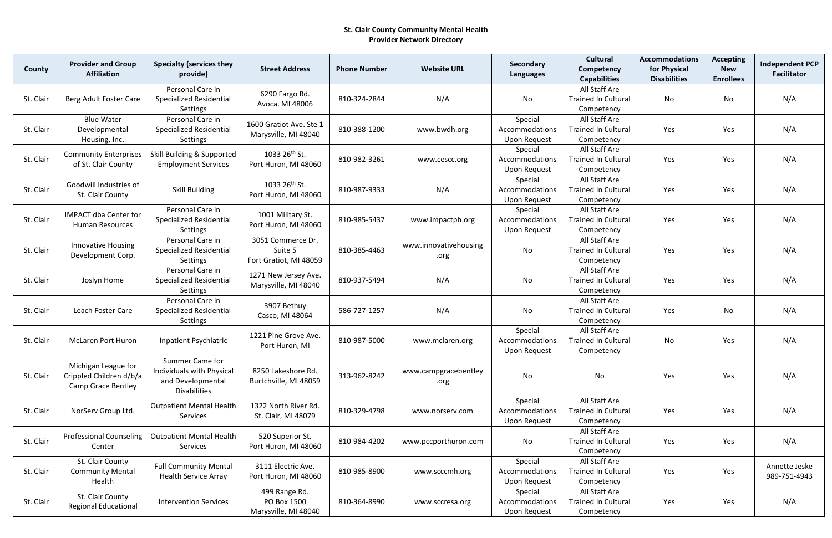| County    | <b>Provider and Group</b><br><b>Affiliation</b>                      | <b>Specialty (services they</b><br>provide)                                              | <b>Street Address</b>                                  | <b>Phone Number</b> | <b>Website URL</b>            | Secondary<br>Languages                           | <b>Cultural</b><br>Competency<br><b>Capabilities</b>      | <b>Accommodations</b><br>for Physical<br><b>Disabilities</b> | <b>Accepting</b><br><b>New</b><br><b>Enrollees</b> | <b>Independent PCP</b><br><b>Facilitator</b> |
|-----------|----------------------------------------------------------------------|------------------------------------------------------------------------------------------|--------------------------------------------------------|---------------------|-------------------------------|--------------------------------------------------|-----------------------------------------------------------|--------------------------------------------------------------|----------------------------------------------------|----------------------------------------------|
| St. Clair | Berg Adult Foster Care                                               | Personal Care in<br><b>Specialized Residential</b><br>Settings                           | 6290 Fargo Rd.<br>Avoca, MI 48006                      | 810-324-2844        | N/A                           | No                                               | All Staff Are<br><b>Trained In Cultural</b><br>Competency | <b>No</b>                                                    | No                                                 | N/A                                          |
| St. Clair | <b>Blue Water</b><br>Developmental<br>Housing, Inc.                  | Personal Care in<br><b>Specialized Residential</b><br>Settings                           | 1600 Gratiot Ave. Ste 1<br>Marysville, MI 48040        | 810-388-1200        | www.bwdh.org                  | Special<br>Accommodations<br><b>Upon Request</b> | All Staff Are<br><b>Trained In Cultural</b><br>Competency | Yes                                                          | Yes                                                | N/A                                          |
| St. Clair | <b>Community Enterprises</b><br>of St. Clair County                  | Skill Building & Supported<br><b>Employment Services</b>                                 | 1033 26 <sup>th</sup> St.<br>Port Huron, MI 48060      | 810-982-3261        | www.cescc.org                 | Special<br>Accommodations<br><b>Upon Request</b> | All Staff Are<br><b>Trained In Cultural</b><br>Competency | Yes                                                          | Yes                                                | N/A                                          |
| St. Clair | Goodwill Industries of<br>St. Clair County                           | <b>Skill Building</b>                                                                    | 1033 26 <sup>th</sup> St.<br>Port Huron, MI 48060      | 810-987-9333        | N/A                           | Special<br>Accommodations<br>Upon Request        | All Staff Are<br><b>Trained In Cultural</b><br>Competency | Yes                                                          | Yes                                                | N/A                                          |
| St. Clair | <b>IMPACT dba Center for</b><br><b>Human Resources</b>               | Personal Care in<br><b>Specialized Residential</b><br>Settings                           | 1001 Military St.<br>Port Huron, MI 48060              | 810-985-5437        | www.impactph.org              | Special<br>Accommodations<br><b>Upon Request</b> | All Staff Are<br><b>Trained In Cultural</b><br>Competency | Yes                                                          | Yes                                                | N/A                                          |
| St. Clair | <b>Innovative Housing</b><br>Development Corp.                       | Personal Care in<br><b>Specialized Residential</b><br><b>Settings</b>                    | 3051 Commerce Dr.<br>Suite 5<br>Fort Gratiot, MI 48059 | 810-385-4463        | www.innovativehousing<br>.org | No                                               | All Staff Are<br><b>Trained In Cultural</b><br>Competency | Yes                                                          | Yes                                                | N/A                                          |
| St. Clair | Joslyn Home                                                          | Personal Care in<br><b>Specialized Residential</b><br>Settings                           | 1271 New Jersey Ave.<br>Marysville, MI 48040           | 810-937-5494        | N/A                           | No                                               | All Staff Are<br><b>Trained In Cultural</b><br>Competency | Yes                                                          | Yes                                                | N/A                                          |
| St. Clair | Leach Foster Care                                                    | Personal Care in<br><b>Specialized Residential</b><br>Settings                           | 3907 Bethuy<br>Casco, MI 48064                         | 586-727-1257        | N/A                           | No                                               | All Staff Are<br><b>Trained In Cultural</b><br>Competency | Yes                                                          | No                                                 | N/A                                          |
| St. Clair | <b>McLaren Port Huron</b>                                            | Inpatient Psychiatric                                                                    | 1221 Pine Grove Ave.<br>Port Huron, MI                 | 810-987-5000        | www.mclaren.org               | Special<br>Accommodations<br>Upon Request        | All Staff Are<br><b>Trained In Cultural</b><br>Competency | No                                                           | Yes                                                | N/A                                          |
| St. Clair | Michigan League for<br>Crippled Children d/b/a<br>Camp Grace Bentley | Summer Came for<br>Individuals with Physical<br>and Developmental<br><b>Disabilities</b> | 8250 Lakeshore Rd.<br>Burtchville, MI 48059            | 313-962-8242        | www.campgracebentley<br>.org  | No                                               | No                                                        | Yes                                                          | Yes                                                | N/A                                          |
| St. Clair | NorServ Group Ltd.                                                   | <b>Outpatient Mental Health</b><br>Services                                              | 1322 North River Rd.<br>St. Clair, MI 48079            | 810-329-4798        | www.norserv.com               | Special<br>Accommodations<br><b>Upon Request</b> | All Staff Are<br><b>Trained In Cultural</b><br>Competency | Yes                                                          | Yes                                                | N/A                                          |
| St. Clair | <b>Professional Counseling</b><br>Center                             | <b>Outpatient Mental Health</b><br>Services                                              | 520 Superior St.<br>Port Huron, MI 48060               | 810-984-4202        | www.pccporthuron.com          | No                                               | All Staff Are<br><b>Trained In Cultural</b><br>Competency | Yes                                                          | Yes                                                | N/A                                          |
| St. Clair | St. Clair County<br><b>Community Mental</b><br>Health                | <b>Full Community Mental</b><br><b>Health Service Array</b>                              | 3111 Electric Ave.<br>Port Huron, MI 48060             | 810-985-8900        | www.scccmh.org                | Special<br>Accommodations<br><b>Upon Request</b> | All Staff Are<br><b>Trained In Cultural</b><br>Competency | Yes                                                          | Yes                                                | Annette Jeske<br>989-751-4943                |
| St. Clair | St. Clair County<br><b>Regional Educational</b>                      | <b>Intervention Services</b>                                                             | 499 Range Rd.<br>PO Box 1500<br>Marysville, MI 48040   | 810-364-8990        | www.sccresa.org               | Special<br>Accommodations<br><b>Upon Request</b> | All Staff Are<br><b>Trained In Cultural</b><br>Competency | Yes                                                          | Yes                                                | N/A                                          |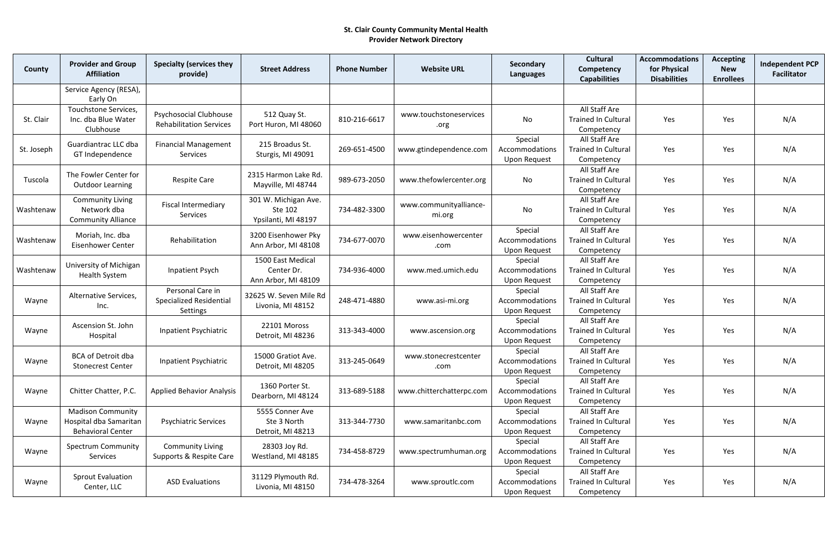| County     | <b>Provider and Group</b><br><b>Affiliation</b>                                | <b>Specialty (services they</b><br>provide)                     | <b>Street Address</b>                                  | <b>Phone Number</b> | <b>Website URL</b>               | Secondary<br>Languages                           | <b>Cultural</b><br>Competency<br><b>Capabilities</b>      | <b>Accommodations</b><br>for Physical<br><b>Disabilities</b> | <b>Accepting</b><br><b>New</b><br><b>Enrollees</b> | <b>Independent PCP</b><br><b>Facilitator</b> |
|------------|--------------------------------------------------------------------------------|-----------------------------------------------------------------|--------------------------------------------------------|---------------------|----------------------------------|--------------------------------------------------|-----------------------------------------------------------|--------------------------------------------------------------|----------------------------------------------------|----------------------------------------------|
|            | Service Agency (RESA),<br>Early On                                             |                                                                 |                                                        |                     |                                  |                                                  |                                                           |                                                              |                                                    |                                              |
| St. Clair  | Touchstone Services,<br>Inc. dba Blue Water<br>Clubhouse                       | <b>Psychosocial Clubhouse</b><br><b>Rehabilitation Services</b> | 512 Quay St.<br>Port Huron, MI 48060                   | 810-216-6617        | www.touchstoneservices<br>.org   | No                                               | All Staff Are<br><b>Trained In Cultural</b><br>Competency | Yes                                                          | Yes                                                | N/A                                          |
| St. Joseph | Guardiantrac LLC dba<br>GT Independence                                        | <b>Financial Management</b><br>Services                         | 215 Broadus St.<br>Sturgis, MI 49091                   | 269-651-4500        | www.gtindependence.com           | Special<br>Accommodations<br><b>Upon Request</b> | All Staff Are<br><b>Trained In Cultural</b><br>Competency | Yes                                                          | Yes                                                | N/A                                          |
| Tuscola    | The Fowler Center for<br><b>Outdoor Learning</b>                               | <b>Respite Care</b>                                             | 2315 Harmon Lake Rd.<br>Mayville, MI 48744             | 989-673-2050        | www.thefowlercenter.org          | No                                               | All Staff Are<br><b>Trained In Cultural</b><br>Competency | Yes                                                          | Yes                                                | N/A                                          |
| Washtenaw  | <b>Community Living</b><br>Network dba<br><b>Community Alliance</b>            | <b>Fiscal Intermediary</b><br>Services                          | 301 W. Michigan Ave.<br>Ste 102<br>Ypsilanti, MI 48197 | 734-482-3300        | www.communityalliance-<br>mi.org | No                                               | All Staff Are<br><b>Trained In Cultural</b><br>Competency | Yes                                                          | Yes                                                | N/A                                          |
| Washtenaw  | Moriah, Inc. dba<br><b>Eisenhower Center</b>                                   | Rehabilitation                                                  | 3200 Eisenhower Pky<br>Ann Arbor, MI 48108             | 734-677-0070        | www.eisenhowercenter<br>.com     | Special<br>Accommodations<br><b>Upon Request</b> | All Staff Are<br><b>Trained In Cultural</b><br>Competency | Yes                                                          | Yes                                                | N/A                                          |
| Washtenaw  | University of Michigan<br><b>Health System</b>                                 | Inpatient Psych                                                 | 1500 East Medical<br>Center Dr.<br>Ann Arbor, MI 48109 | 734-936-4000        | www.med.umich.edu                | Special<br>Accommodations<br><b>Upon Request</b> | All Staff Are<br><b>Trained In Cultural</b><br>Competency | Yes                                                          | Yes                                                | N/A                                          |
| Wayne      | Alternative Services,<br>Inc.                                                  | Personal Care in<br><b>Specialized Residential</b><br>Settings  | 32625 W. Seven Mile Rd<br>Livonia, MI 48152            | 248-471-4880        | www.asi-mi.org                   | Special<br>Accommodations<br><b>Upon Request</b> | All Staff Are<br><b>Trained In Cultural</b><br>Competency | Yes                                                          | Yes                                                | N/A                                          |
| Wayne      | Ascension St. John<br>Hospital                                                 | Inpatient Psychiatric                                           | 22101 Moross<br>Detroit, MI 48236                      | 313-343-4000        | www.ascension.org                | Special<br>Accommodations<br><b>Upon Request</b> | All Staff Are<br><b>Trained In Cultural</b><br>Competency | Yes                                                          | Yes                                                | N/A                                          |
| Wayne      | BCA of Detroit dba<br><b>Stonecrest Center</b>                                 | Inpatient Psychiatric                                           | 15000 Gratiot Ave.<br>Detroit, MI 48205                | 313-245-0649        | www.stonecrestcenter<br>.com     | Special<br>Accommodations<br><b>Upon Request</b> | All Staff Are<br><b>Trained In Cultural</b><br>Competency | Yes                                                          | Yes                                                | N/A                                          |
| Wayne      | Chitter Chatter, P.C.                                                          | <b>Applied Behavior Analysis</b>                                | 1360 Porter St.<br>Dearborn, MI 48124                  | 313-689-5188        | www.chitterchatterpc.com         | Special<br>Accommodations<br><b>Upon Request</b> | All Staff Are<br><b>Trained In Cultural</b><br>Competency | Yes                                                          | Yes                                                | N/A                                          |
| Wayne      | <b>Madison Community</b><br>Hospital dba Samaritan<br><b>Behavioral Center</b> | <b>Psychiatric Services</b>                                     | 5555 Conner Ave<br>Ste 3 North<br>Detroit, MI 48213    | 313-344-7730        | www.samaritanbc.com              | Special<br>Accommodations<br><b>Upon Request</b> | All Staff Are<br><b>Trained In Cultural</b><br>Competency | Yes                                                          | Yes                                                | N/A                                          |
| Wayne      | <b>Spectrum Community</b><br>Services                                          | <b>Community Living</b><br>Supports & Respite Care              | 28303 Joy Rd.<br>Westland, MI 48185                    | 734-458-8729        | www.spectrumhuman.org            | Special<br>Accommodations<br><b>Upon Request</b> | All Staff Are<br><b>Trained In Cultural</b><br>Competency | Yes                                                          | Yes                                                | N/A                                          |
| Wayne      | <b>Sprout Evaluation</b><br>Center, LLC                                        | <b>ASD Evaluations</b>                                          | 31129 Plymouth Rd.<br>Livonia, MI 48150                | 734-478-3264        | www.sproutlc.com                 | Special<br>Accommodations<br><b>Upon Request</b> | All Staff Are<br><b>Trained In Cultural</b><br>Competency | Yes                                                          | Yes                                                | N/A                                          |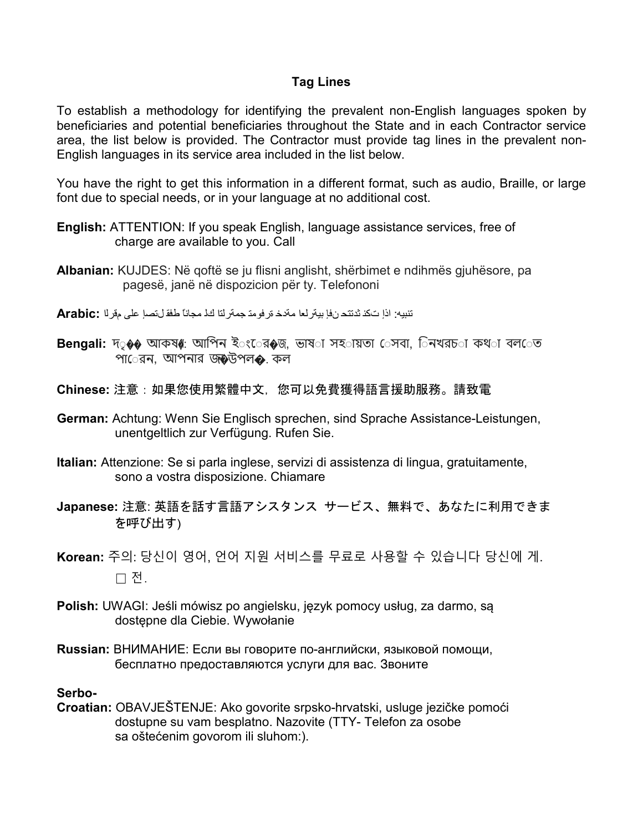#### **Tag Lines**

To establish a methodology for identifying the prevalent non-English languages spoken by beneficiaries and potential beneficiaries throughout the State and in each Contractor service area, the list below is provided. The Contractor must provide tag lines in the prevalent non-English languages in its service area included in the list below.

You have the right to get this information in a different format, such as audio, Braille, or large font due to special needs, or in your language at no additional cost.

- **English:** ATTENTION: If you speak English, language assistance services, free of charge are available to you. Call
- **Albanian:** KUJDES: Në qoftë se ju flisni anglisht, shërbimet e ndihmës gjuhësore, pa pagesë, janë në dispozicion për ty. Telefononi
- تنبیھ: اذإ تكن ثدتتح نفإ بیةرلعا مةدخ ةرفومت جمةرلتا كل مجاناً طفق لتصإ على مقرلا **:Arabic**
- **Bengali: দ**ৃ�� আকষ্4: আপিন ইংের�জ, ভাষ**া সহ**ায়তা েসবা, িনখরচ**া কথ**া বল**েত** পা**ে**রন, আপনার জৡউপল�. কল
- **Chinese:** 注意:如果您使用繁體中文,您可以免費獲得語言援助服務。請致電
- **German:** Achtung: Wenn Sie Englisch sprechen, sind Sprache Assistance-Leistungen, unentgeltlich zur Verfügung. Rufen Sie.
- **Italian:** Attenzione: Se si parla inglese, servizi di assistenza di lingua, gratuitamente, sono a vostra disposizione. Chiamare
- **Japanese:** 注意: 英語を話す言語アシスタンス サービス、無料で、あなたに利用できま を呼び出す)
- **Korean:** 주의: 당신이 영어, 언어 지원 서비스를 무료로 사용할 수 있습니다 당신에 게. □ 전.
- **Polish:** UWAGI: Jeśli mówisz po angielsku, język pomocy usług, za darmo, są dostępne dla Ciebie. Wywołanie
- **Russian:** ВНИМАНИЕ: Если вы говорите по-английски, языковой помощи, бесплатно предоставляются услуги для вас. Звоните

#### **Serbo-**

**Croatian:** OBAVJEŠTENJE: Ako govorite srpsko-hrvatski, usluge jezičke pomoći dostupne su vam besplatno. Nazovite (TTY- Telefon za osobe sa oštećenim govorom ili sluhom:).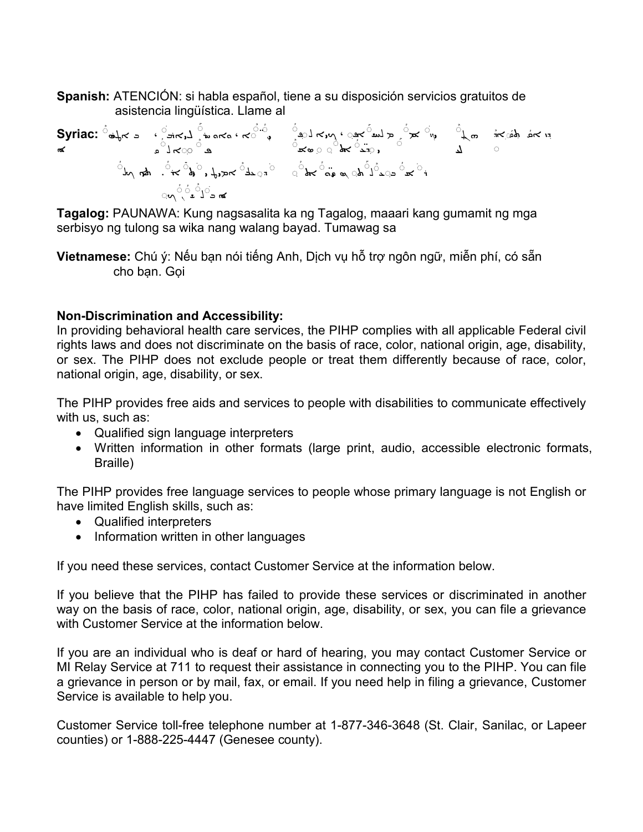**Spanish:** ATENCIÓN: si habla español, tiene a su disposición servicios gratuitos de asistencia lingüística. Llame al

| Syriac: | \n $\vec{a} - \vec{b}$ \n | \n $\vec{b}$ \n | \n $\vec{c}$ \n | \n $\vec{c}$ \n | \n $\vec{c}$ \n | \n $\vec{c}$ \n | \n $\vec{c}$ \n | \n $\vec{c}$ \n | \n $\vec{c}$ \n | \n $\vec{c}$ \n | \n $\vec{c}$ \n | \n $\vec{c}$ \n | \n $\vec{c}$ \n | \n $\vec{c}$ \n | \n $\vec{c}$ \n | \n $\vec{c}$ \n | \n $\vec{c}$ \n | \n $\vec{c}$ \n | \n $\vec{c}$ \n | \n $\vec{c}$ \n | \n $\vec{c}$ \n | \n $\vec{c}$ \n | \n $\vec{c}$ \n | \n $\vec{c}$ \n | \n $\vec{c}$ \n | \n $\vec{c}$ \n | \n $\vec{c}$ \n | \n $\vec{c}$ \n | \n $\vec{c}$ \n | \n $\vec{c}$ \n | \n $\vec{c}$ \n | \n $\vec{c}$ \n | \n $\vec{c}$ \n | \n $\vec{c}$ \n | \n $\vec{c}$ \n | \n $\vec{c}$ \n | \n $\vec{c}$ \n | \n $\vec{c}$ \n | \n $\vec{c}$ \n | \n $\vec{c}$ \n | \n $\vec{c}$ \n | \n $\vec{c}$ \n | \n $\vec{c}$ \n | \n $\vec{c}$ |
|---------|---------------------------|-----------------|-----------------|-----------------|-----------------|-----------------|-----------------|-----------------|-----------------|-----------------|-----------------|-----------------|-----------------|-----------------|-----------------|-----------------|-----------------|-----------------|-----------------|-----------------|-----------------|-----------------|-----------------|-----------------|-----------------|-----------------|-----------------|-----------------|-----------------|-----------------|-----------------|-----------------|-----------------|-----------------|-----------------|-----------------|-----------------|-----------------|-----------------|-----------------|-----------------|-----------------|-----------------|--------------|
|---------|---------------------------|-----------------|-----------------|-----------------|-----------------|-----------------|-----------------|-----------------|-----------------|-----------------|-----------------|-----------------|-----------------|-----------------|-----------------|-----------------|-----------------|-----------------|-----------------|-----------------|-----------------|-----------------|-----------------|-----------------|-----------------|-----------------|-----------------|-----------------|-----------------|-----------------|-----------------|-----------------|-----------------|-----------------|-----------------|-----------------|-----------------|-----------------|-----------------|-----------------|-----------------|-----------------|-----------------|--------------|

**Tagalog:** PAUNAWA: Kung nagsasalita ka ng Tagalog, maaari kang gumamit ng mga serbisyo ng tulong sa wika nang walang bayad. Tumawag sa

**Vietnamese:** Chú ý: Nếu bạn nói tiếng Anh, Dịch vụ hỗ trợ ngôn ngữ, miễn phí, có sẵn cho bạn. Gọi

#### **Non-Discrimination and Accessibility:**

In providing behavioral health care services, the PIHP complies with all applicable Federal civil rights laws and does not discriminate on the basis of race, color, national origin, age, disability, or sex. The PIHP does not exclude people or treat them differently because of race, color, national origin, age, disability, or sex.

The PIHP provides free aids and services to people with disabilities to communicate effectively with us, such as:

- Qualified sign language interpreters
- Written information in other formats (large print, audio, accessible electronic formats, Braille)

The PIHP provides free language services to people whose primary language is not English or have limited English skills, such as:

- Qualified interpreters
- Information written in other languages

If you need these services, contact Customer Service at the information below.

If you believe that the PIHP has failed to provide these services or discriminated in another way on the basis of race, color, national origin, age, disability, or sex, you can file a grievance with Customer Service at the information below.

If you are an individual who is deaf or hard of hearing, you may contact Customer Service or MI Relay Service at 711 to request their assistance in connecting you to the PIHP. You can file a grievance in person or by mail, fax, or email. If you need help in filing a grievance, Customer Service is available to help you.

Customer Service toll-free telephone number at 1-877-346-3648 (St. Clair, Sanilac, or Lapeer counties) or 1-888-225-4447 (Genesee county).